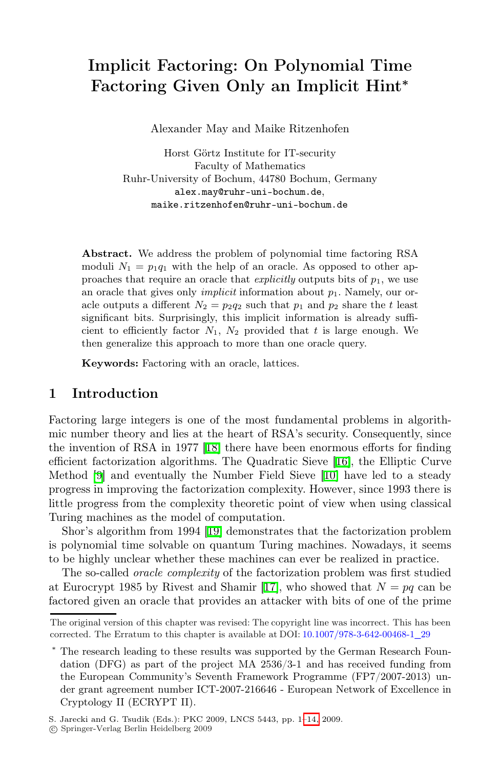# Implicit Factoring: On Polynomial Time Factoring Given Only an Implicit Hint*<sup>∗</sup>*

Alexander May and Maike Ritzenhofen

Horst Görtz Institute for IT-security Faculty of Mathematics Ruhr-University of Bochum, 44780 Bochum, Germany alex.may@ruhr-uni-bochum.de, maike.ritzenhofen@ruhr-uni-bochum.de

Abstract. We address the problem of polynomial time factoring RSA moduli  $N_1 = p_1q_1$  with the help of an oracle. As opposed to other approaches that require an oracle that *explicitly* outputs bits of  $p_1$ , we use an oracle that gives only *implicit* information about  $p_1$ . Namely, our oracle outputs a different  $N_2 = p_2q_2$  such that  $p_1$  and  $p_2$  share the t least significant bits. Surprisingly, this implicit information is already sufficient to efficiently factor  $N_1$ ,  $N_2$  provided that t is large enough. We then generalize this approach to more than one oracle query.

Keywords: Factoring with an oracle, lattices.

# 1 Introduction

Factoring large integers is one of the most fundamental problems in algorithmic number theory and lies at the heart of RSA's security. Consequently, since the invention of RSA in 1977  $\boxed{18}$  there have been enormous efforts for finding efficient factorization algorithms. The Quadratic Sieve  $[16]$ , the Elliptic Curve Method  $\left| \mathbf{9} \right|$  and eventually the Number Field Sieve  $\left| \overline{10} \right|$  have led to a steady progress in improving the factorization complexity. However, since 1993 there is little progress from the complexity theoretic point of view when using classical Turing machines as the model of computation.

Shor's algorithm from 1994  $[\overline{19}]$  demonstrates that the factorization problem is polynomial time solvable on quantum Turing machines. Nowadays, it seems to be highly unclear whether these machines can ever be realized in practice.

The so-called *oracle complexity* of the factorization problem was first studied at Eurocrypt 1985 by Rivest and Shamir [[17\]](#page-13-5), who showed that  $N = pq$  can be factored given an oracle that provides an attacker with bits of one of the prime

The original version of this chapter was revised: The copyright line was incorrect. This has been corrected. The Erratum to this chapter is available at DOI: [10.1007/978-3-642-00468-1](http://dx.doi.org/10.1007/978-3-642-00468-1_29)*\_*29

<sup>∗</sup> The research leading to these results was supported by the German Research Foundation (DFG) as part of the project MA 2536/3-1 and has received funding from the European Community's Seventh Framework Programme (FP7/2007-2013) under grant agreement number ICT-2007-216646 - European Network of Excellence in Cryptology II (ECRYPT II).

S. Jarecki and G. Tsudik (Eds.): PKC 2009, LNCS 5443, pp. 1[–14,](#page-13-6) 2009.

c Springer-Verlag Berlin Heidelberg 2009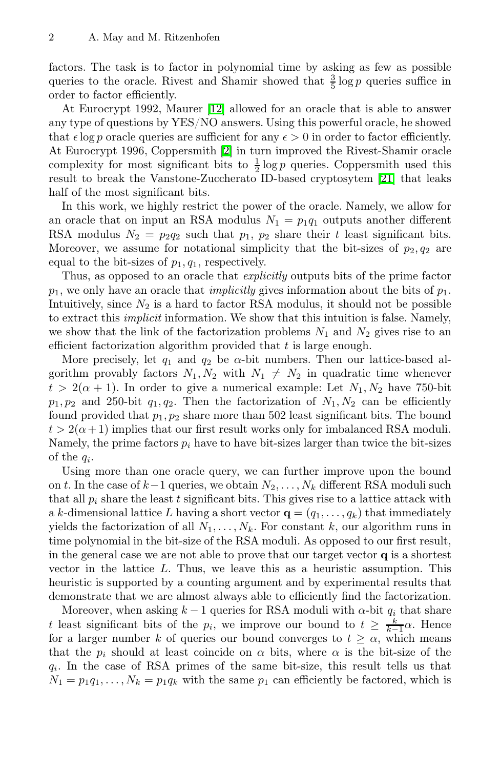factors. The task is to factor in polynomial time by asking as few as possible queries to the oracle. Rivest and Shamir showed that  $\frac{3}{5} \log p$  queries suffice in order to factor efficiently.

At Eurocrypt 1992, Maurer 12 allowed for an oracle that is able to answer any type of questions by YES/NO answers. Using this powerful oracle, he showed that  $\epsilon \log p$  oracle queries are sufficient for any  $\epsilon > 0$  in order to factor efficiently. At Eurocrypt 1996, Coppersmith  $[2]$  in turn improved the Rivest-Shamir oracle complexity for most significant bits to  $\frac{1}{2} \log p$  queries. Coppersmith used this result to break the Vanstone-Zuccherato ID-based cryptosytem [\[21\]](#page-13-8) that leaks half of the most significant bits.

In this work, we highly restrict the power of the oracle. Namely, we allow for an oracle that on input an RSA modulus  $N_1 = p_1q_1$  outputs another different RSA modulus  $N_2 = p_2 q_2$  such that  $p_1, p_2$  share their t least significant bits. Moreover, we assume for notational simplicity that the bit-sizes of  $p_2, q_2$  are equal to the bit-sizes of  $p_1, q_1$ , respectively.

Thus, as opposed to an oracle that *explicitly* outputs bits of the prime factor  $p_1$ , we only have an oracle that *implicitly* gives information about the bits of  $p_1$ . Intuitively, since  $N_2$  is a hard to factor RSA modulus, it should not be possible to extract this *implicit* information. We show that this intuition is false. Namely, we show that the link of the factorization problems  $N_1$  and  $N_2$  gives rise to an efficient factorization algorithm provided that  $t$  is large enough.

More precisely, let  $q_1$  and  $q_2$  be  $\alpha$ -bit numbers. Then our lattice-based algorithm provably factors  $N_1, N_2$  with  $N_1 \neq N_2$  in quadratic time whenever  $t > 2(\alpha + 1)$ . In order to give a numerical example: Let  $N_1, N_2$  have 750-bit  $p_1, p_2$  and 250-bit  $q_1, q_2$ . Then the factorization of  $N_1, N_2$  can be efficiently found provided that  $p_1, p_2$  share more than 502 least significant bits. The bound  $t > 2(\alpha + 1)$  implies that our first result works only for imbalanced RSA moduli. Namely, the prime factors  $p_i$  have to have bit-sizes larger than twice the bit-sizes of the  $q_i$ .

Using more than one oracle query, we can further improve upon the bound on t. In the case of  $k-1$  queries, we obtain  $N_2, \ldots, N_k$  different RSA moduli such that all  $p_i$  share the least  $t$  significant bits. This gives rise to a lattice attack with a k-dimensional lattice L having a short vector  $\mathbf{q} = (q_1, \ldots, q_k)$  that immediately yields the factorization of all  $N_1, \ldots, N_k$ . For constant k, our algorithm runs in time polynomial in the bit-size of the RSA moduli. As opposed to our first result, in the general case we are not able to prove that our target vector **q** is a shortest vector in the lattice  $L$ . Thus, we leave this as a heuristic assumption. This heuristic is supported by a counting argument and by experimental results that demonstrate that we are almost always able to efficiently find the factorization.

Moreover, when asking  $k - 1$  queries for RSA moduli with  $\alpha$ -bit  $q_i$  that share t least significant bits of the  $p_i$ , we improve our bound to  $t \geq \frac{k}{k-1}\alpha$ . Hence for a larger number k of queries our bound converges to  $t \geq \alpha$ , which means that the  $p_i$  should at least coincide on  $\alpha$  bits, where  $\alpha$  is the bit-size of the  $q_i$ . In the case of RSA primes of the same bit-size, this result tells us that  $N_1 = p_1q_1, \ldots, N_k = p_1q_k$  with the same  $p_1$  can efficiently be factored, which is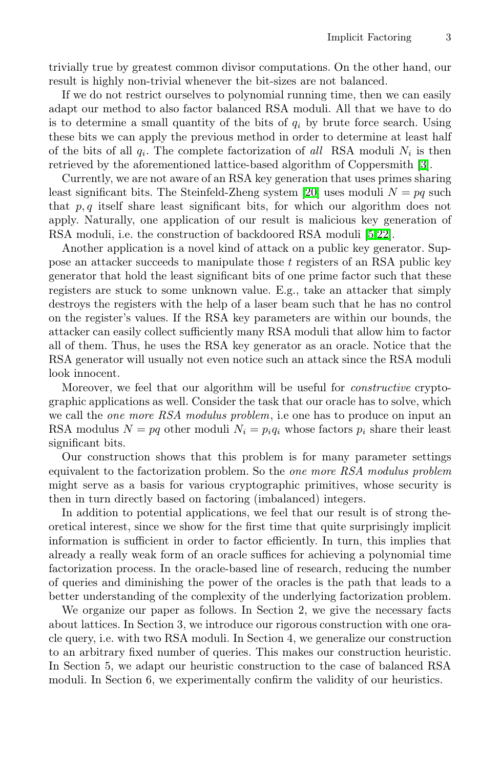trivially true by greatest common divisor computations. On the other hand, our result is highly non-trivial whenever the bit-sizes are not balanced.

If we do not restrict ourselves to polynomial running time, then we can easily adapt our method to also factor balanced RSA moduli. All that we have to do is to determine a small quantity of the bits of  $q_i$  by brute force search. Using these bits we can apply the previous method in order to determine at least half of the bits of all  $q_i$ . The complete factorization of *all* RSA moduli  $N_i$  is then retrieved by the aforementioned lattice-based algorithm of Coppersmith **3**.

Currently, we are not aware of an RSA key generation that uses primes sharing least significant bits. The Steinfeld-Zheng system [\[20\]](#page-13-9) uses moduli  $N = pq$  such that  $p, q$  itself share least significant bits, for which our algorithm does not apply. Naturally, one application of our result is malicious key generation of RSA moduli, i.e. the construction of backdoored RSA moduli [\[5,](#page-12-2)[22\]](#page-13-10).

Another application is a novel kind of attack on a public key generator. Suppose an attacker succeeds to manipulate those t registers of an RSA public key generator that hold the least significant bits of one prime factor such that these registers are stuck to some unknown value. E.g., take an attacker that simply destroys the registers with the help of a laser beam such that he has no control on the register's values. If the RSA key parameters are within our bounds, the attacker can easily collect sufficiently many RSA moduli that allow him to factor all of them. Thus, he uses the RSA key generator as an oracle. Notice that the RSA generator will usually not even notice such an attack since the RSA moduli look innocent.

Moreover, we feel that our algorithm will be useful for *constructive* cryptographic applications as well. Consider the task that our oracle has to solve, which we call the *one more RSA modulus problem*, i.e one has to produce on input an RSA modulus  $N = pq$  other moduli  $N_i = p_i q_i$  whose factors  $p_i$  share their least significant bits.

Our construction shows that this problem is for many parameter settings equivalent to the factorization problem. So the *one more RSA modulus problem* might serve as a basis for various cryptographic primitives, whose security is then in turn directly based on factoring (imbalanced) integers.

In addition to potential applications, we feel that our result is of strong theoretical interest, since we show for the first time that quite surprisingly implicit information is sufficient in order to factor efficiently. In turn, this implies that already a really weak form of an oracle suffices for achieving a polynomial time factorization process. In the oracle-based line of research, reducing the number of queries and diminishing the power of the oracles is the path that leads to a better understanding of the complexity of the underlying factorization problem.

We organize our paper as follows. In Section 2, we give the necessary facts about lattices. In Section 3, we introduce our rigorous construction with one oracle query, i.e. with two RSA moduli. In Section 4, we generalize our construction to an arbitrary fixed number of queries. This makes our construction heuristic. In Section 5, we adapt our heuristic construction to the case of balanced RSA moduli. In Section 6, we experimentally confirm the validity of our heuristics.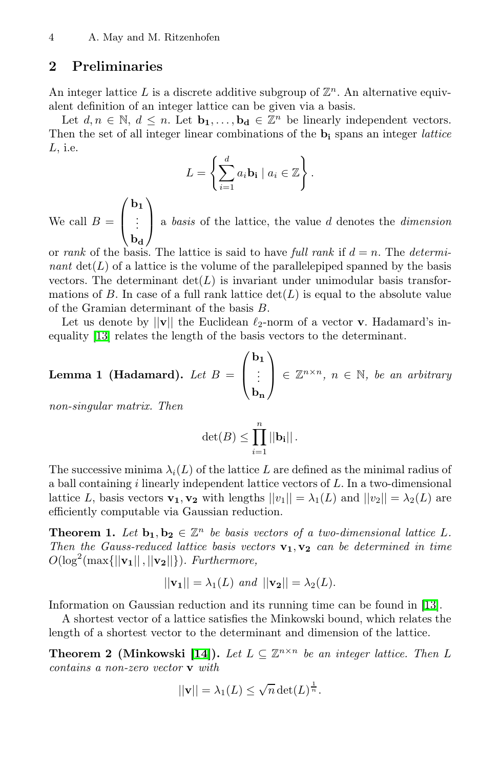## 2 Preliminaries

An integer lattice L is a discrete additive subgroup of  $\mathbb{Z}^n$ . An alternative equivalent definition of an integer lattice can be given via a basis.

Let  $d, n \in \mathbb{N}, d \leq n$ . Let  $\mathbf{b}_1, \ldots, \mathbf{b}_d \in \mathbb{Z}^n$  be linearly independent vectors. Then the set of all integer linear combinations of the **b<sup>i</sup>** spans an integer *lattice* L, i.e.

$$
L = \left\{ \sum_{i=1}^d a_i \mathbf{b_i} \mid a_i \in \mathbb{Z} \right\}.
$$

We call  $B =$  $\left| \right|$ **b<sup>1</sup>** . . . **b<sup>d</sup>**

 $\sqrt{ }$ 

 $\setminus$ 

⎟⎠ a *basis* of the lattice, the value d denotes the *dimension*

or *rank* of the basis. The lattice is said to have *full rank* if  $d = n$ . The *determinant*  $det(L)$  of a lattice is the volume of the parallelepiped spanned by the basis vectors. The determinant  $\det(L)$  is invariant under unimodular basis transformations of B. In case of a full rank lattice  $\det(L)$  is equal to the absolute value of the Gramian determinant of the basis B.

Let us denote by  $||\mathbf{v}||$  the Euclidean  $\ell_2$ -norm of a vector **v**. Hadamard's inequality [\[13\]](#page-13-11) relates the length of the basis vectors to the determinant.

**Lemma 1 (Hadamard).** Let 
$$
B = \begin{pmatrix} \mathbf{b_1} \\ \vdots \\ \mathbf{b_n} \end{pmatrix} \in \mathbb{Z}^{n \times n}
$$
,  $n \in \mathbb{N}$ , be an arbitrary

*non-singular matrix. Then*

<span id="page-3-0"></span>
$$
\det(B) \leq \prod_{i=1}^n ||\mathbf{b_i}||.
$$

The successive minima  $\lambda_i(L)$  of the lattice L are defined as the minimal radius of a ball containing  $i$  linearly independent lattice vectors of  $L$ . In a two-dimensional lattice L, basis vectors **v**<sub>1</sub>, **v**<sub>2</sub> with lengths  $||v_1|| = \lambda_1(L)$  and  $||v_2|| = \lambda_2(L)$  are efficiently computable via Gaussian reduction.

Theorem 1. Let  $\mathbf{b}_1, \mathbf{b}_2 \in \mathbb{Z}^n$  be basis vectors of a two-dimensional lattice L. *Then the Gauss-reduced lattice basis vectors* **v1**, **v<sup>2</sup>** *can be determined in time*  $O(\log^2(\max{\{||\mathbf{v_1}||}, ||\mathbf{v_2}||\})$ *. Furthermore,* 

$$
||\mathbf{v_1}|| = \lambda_1(L) \text{ and } ||\mathbf{v_2}|| = \lambda_2(L).
$$

Information on Gaussian reduction and its running time can be found in [\[13\]](#page-13-11).

A shortest vector of a lattice satisfies the Minkowski bound, which relates the length of a shortest vector to the determinant and dimension of the lattice.

**Theorem 2 (Minkowski [\[14\]](#page-13-12)).** Let  $L \subseteq \mathbb{Z}^{n \times n}$  be an integer lattice. Then L *contains a non-zero vector* **v** *with*

$$
||\mathbf{v}|| = \lambda_1(L) \le \sqrt{n} \det(L)^{\frac{1}{n}}.
$$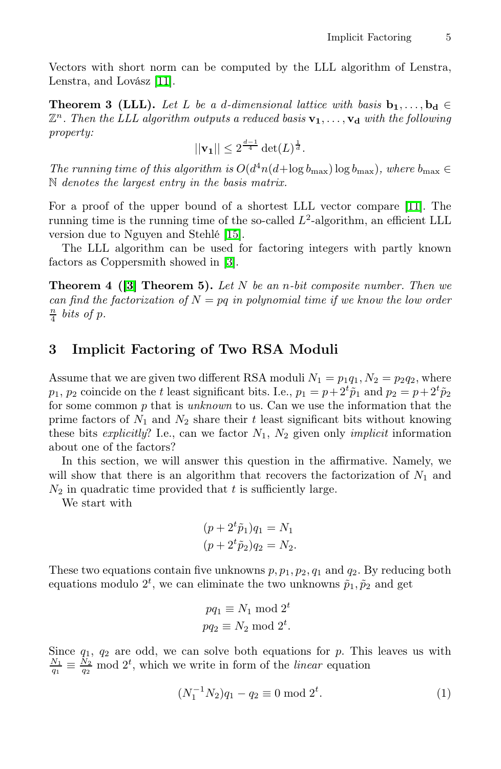Vectors with short norm can be computed by the LLL algorithm of Lenstra, Lenstra, and Lovász **11**.

**Theorem 3 (LLL).** Let L be a d-dimensional lattice with basis  $\mathbf{b}_1, \ldots, \mathbf{b}_d \in$  $\mathbb{Z}^n$ . Then the LLL algorithm outputs a reduced basis  $\mathbf{v}_1, \ldots, \mathbf{v}_d$  with the following *property:*

<span id="page-4-2"></span>
$$
||\mathbf{v}_1|| \leq 2^{\frac{d-1}{4}} \det(L)^{\frac{1}{d}}.
$$

*The running time of this algorithm is*  $O(d^4n(d+\log b_{\max}))\log b_{\max}$ *, where*  $b_{\max} \in$ N *denotes the largest entry in the basis matrix.*

For a proof of the upper bound of a shortest LLL vector compare [\[11\]](#page-13-13). The running time is the running time of the so-called  $L^2$ -algorithm, an efficient LLL version due to Nguyen and Stehlé <sup>[\[15\]](#page-13-14)</sup>.

<span id="page-4-1"></span>The LLL algorithm can be used for factoring integers with partly known factors as Coppersmith showed in [\[3\]](#page-12-1).

Theorem 4 ([\[3\]](#page-12-1) Theorem 5). *Let* N *be an* n*-bit composite number. Then we can find the factorization of* N = pq *in polynomial time if we know the low order*  $\frac{n}{4}$  *bits of* p.

# 3 Implicit Factoring of Two RSA Moduli

Assume that we are given two different RSA moduli  $N_1 = p_1q_1, N_2 = p_2q_2$ , where  $p_1, p_2$  coincide on the t least significant bits. I.e.,  $p_1 = p + 2^t \tilde{p}_1$  and  $p_2 = p + 2^t \tilde{p}_2$ for some common p that is *unknown* to us. Can we use the information that the prime factors of  $N_1$  and  $N_2$  share their t least significant bits without knowing these bits *explicitly*? I.e., can we factor  $N_1$ ,  $N_2$  given only *implicit* information about one of the factors?

In this section, we will answer this question in the affirmative. Namely, we will show that there is an algorithm that recovers the factorization of  $N_1$  and  $N_2$  in quadratic time provided that t is sufficiently large.

We start with

<span id="page-4-0"></span>
$$
(p+2t\tilde{p}_1)q_1 = N_1
$$
  

$$
(p+2t\tilde{p}_2)q_2 = N_2.
$$

These two equations contain five unknowns  $p, p_1, p_2, q_1$  and  $q_2$ . By reducing both equations modulo  $2^t$ , we can eliminate the two unknowns  $\tilde{p}_1, \tilde{p}_2$  and get

$$
pq_1 \equiv N_1 \bmod 2^t
$$
  

$$
pq_2 \equiv N_2 \bmod 2^t.
$$

Since  $q_1$ ,  $q_2$  are odd, we can solve both equations for p. This leaves us with  $\frac{N_1}{q_1} \equiv \frac{N_2}{q_2} \mod 2^t$ , which we write in form of the *linear* equation

$$
(N_1^{-1}N_2)q_1 - q_2 \equiv 0 \mod 2^t. \tag{1}
$$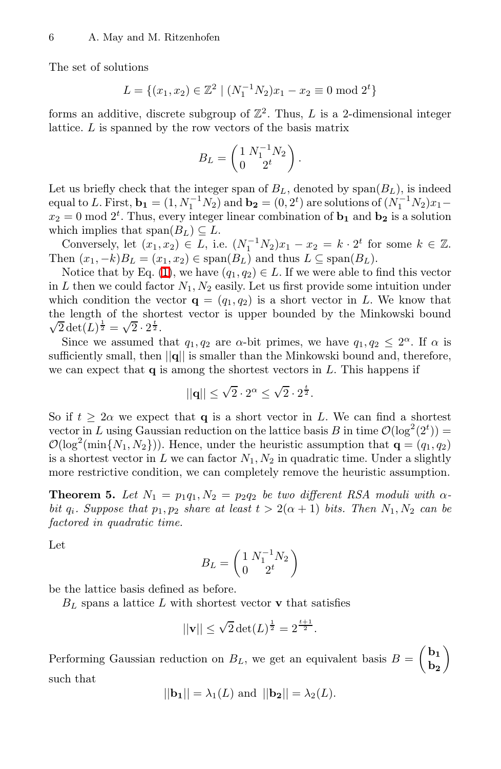The set of solutions

$$
L = \{(x_1, x_2) \in \mathbb{Z}^2 \mid (N_1^{-1} N_2) x_1 - x_2 \equiv 0 \mod 2^t\}
$$

forms an additive, discrete subgroup of  $\mathbb{Z}^2$ . Thus, L is a 2-dimensional integer lattice. L is spanned by the row vectors of the basis matrix

$$
B_L = \begin{pmatrix} 1 & N_1^{-1} N_2 \\ 0 & 2^t \end{pmatrix}.
$$

Let us briefly check that the integer span of  $B_L$ , denoted by span $(B_L)$ , is indeed equal to L. First,  $\mathbf{b_1} = (1, N_1^{-1} N_2)$  and  $\mathbf{b_2} = (0, 2^t)$  are solutions of  $(N_1^{-1} N_2) x_1$  –  $x_2 = 0$  mod  $2^t$ . Thus, every integer linear combination of  $\mathbf{b_1}$  and  $\mathbf{b_2}$  is a solution which implies that span $(B_L) \subseteq L$ .

Conversely, let  $(x_1, x_2) \in L$ , i.e.  $(N_1^{-1}N_2)x_1 - x_2 = k \cdot 2^t$  for some  $k \in \mathbb{Z}$ . Then  $(x_1, -k)B_L = (x_1, x_2) \in \text{span}(B_L)$  and thus  $L \subseteq \text{span}(B_L)$ .

Notice that by Eq. [\(1\)](#page-4-0), we have  $(q_1, q_2) \in L$ . If we were able to find this vector in  $L$  then we could factor  $N_1, N_2$  easily. Let us first provide some intuition under which condition the vector  $\mathbf{q} = (q_1, q_2)$  is a short vector in L. We know that the length of the shortest vector is upper bounded by the Minkowski bound  $\sqrt{2} \det(L)^{\frac{1}{2}} = \sqrt{2} \cdot 2^{\frac{1}{2}}.$ 

Since we assumed that  $q_1, q_2$  are  $\alpha$ -bit primes, we have  $q_1, q_2 \leq 2^{\alpha}$ . If  $\alpha$  is sufficiently small, then ||**q**|| is smaller than the Minkowski bound and, therefore, we can expect that  $q$  is among the shortest vectors in  $L$ . This happens if

$$
||\mathbf{q}|| \leq \sqrt{2} \cdot 2^{\alpha} \leq \sqrt{2} \cdot 2^{\frac{t}{2}}.
$$

So if  $t \geq 2\alpha$  we expect that **q** is a short vector in L. We can find a shortest vector in L using Gaussian reduction on the lattice basis B in time  $\mathcal{O}(\log^2(2^t)) =$  $\mathcal{O}(\log^2(\min\{N_1, N_2\}))$ . Hence, under the heuristic assumption that  $\mathbf{q} = (q_1, q_2)$ is a shortest vector in L we can factor  $N_1, N_2$  in quadratic time. Under a slightly more restrictive condition, we can completely remove the heuristic assumption.

**Theorem 5.** Let  $N_1 = p_1q_1, N_2 = p_2q_2$  be two different RSA moduli with  $\alpha$ *bit*  $q_i$ *. Suppose that*  $p_1, p_2$  *share at least*  $t > 2(\alpha + 1)$  *bits. Then*  $N_1, N_2$  *can be factored in quadratic time.*

Let

$$
B_L=\left(\begin{matrix}1&N_1^{-1}N_2\\0&2^t\end{matrix}\right)
$$

be the lattice basis defined as before.

 $B_L$  spans a lattice  $L$  with shortest vector **v** that satisfies

$$
||\mathbf{v}|| \le \sqrt{2} \det(L)^{\frac{1}{2}} = 2^{\frac{t+1}{2}}.
$$

Performing Gaussian reduction on  $B_L$ , we get an equivalent basis  $B = \begin{pmatrix} \mathbf{b}_1 \\ \mathbf{b}_2 \end{pmatrix}$ **b<sup>2</sup>**  $\overline{ }$ such that

$$
||\mathbf{b_1}|| = \lambda_1(L) \text{ and } ||\mathbf{b_2}|| = \lambda_2(L).
$$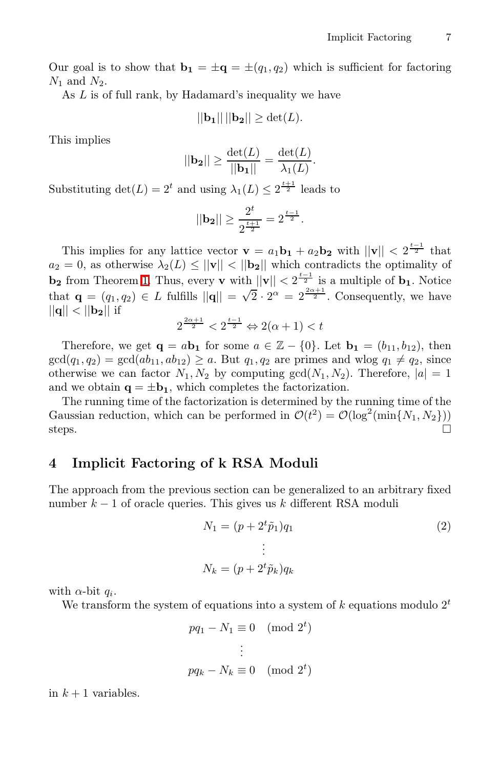Our goal is to show that  $\mathbf{b}_1 = \pm \mathbf{q} = \pm (q_1, q_2)$  which is sufficient for factoring  $N_1$  and  $N_2$ .

As  $L$  is of full rank, by Hadamard's inequality we have

$$
||\mathbf{b_1}|| ||\mathbf{b_2}|| \geq \det(L).
$$

This implies

$$
||\mathbf{b_2}|| \geq \frac{\det(L)}{||\mathbf{b_1}||} = \frac{\det(L)}{\lambda_1(L)}.
$$

Substituting  $\det(L) = 2^t$  and using  $\lambda_1(L) \leq 2^{\frac{t+1}{2}}$  leads to

$$
||\mathbf{b_2}|| \geq \frac{2^t}{2^{\frac{t+1}{2}}} = 2^{\frac{t-1}{2}}.
$$

This implies for any lattice vector  $\mathbf{v} = a_1 \mathbf{b_1} + a_2 \mathbf{b_2}$  with  $||\mathbf{v}|| < 2^{\frac{t-1}{2}}$  that  $a_2 = 0$ , as otherwise  $\lambda_2(L) \le ||\mathbf{v}|| < ||\mathbf{b}_2||$  which contradicts the optimality of **b2** from Theorem **II** Thus, every **v** with  $||\mathbf{v}|| < 2^{\frac{t-1}{2}}$  is a multiple of **b**<sub>1</sub>. Notice that  $\mathbf{q} = (q_1, q_2) \in L$  fulfills  $||\mathbf{q}|| = \sqrt{2} \cdot 2^{\alpha} = 2^{\frac{2\alpha+1}{2}}$ . Consequently, we have  $||q|| < ||\mathbf{b}_2||$  if

<span id="page-6-1"></span>
$$
2^{\frac{2\alpha+1}{2}} < 2^{\frac{t-1}{2}} \Leftrightarrow 2(\alpha+1) < t
$$

Therefore, we get  $\mathbf{q} = a\mathbf{b}_1$  for some  $a \in \mathbb{Z} - \{0\}$ . Let  $\mathbf{b}_1 = (b_{11}, b_{12})$ , then  $gcd(q_1, q_2) = gcd(ab_{11}, ab_{12}) \ge a$ . But  $q_1, q_2$  are primes and wlog  $q_1 \ne q_2$ , since otherwise we can factor  $N_1, N_2$  by computing  $gcd(N_1, N_2)$ . Therefore,  $|a| = 1$ and we obtain  $\mathbf{q} = \pm \mathbf{b_1}$ , which completes the factorization.

The running time of the factorization is determined by the running time of the Gaussian reduction, which can be performed in  $\mathcal{O}(t^2) = \mathcal{O}(\log^2(\min\{N_1, N_2\}))$ steps.  $\Box$ 

#### 4 Implicit Factoring of **k** RSA Moduli

The approach from the previous section can be generalized to an arbitrary fixed number  $k-1$  of oracle queries. This gives us k different RSA moduli

<span id="page-6-0"></span>
$$
N_1 = (p + 2t \tilde{p}_1) q_1
$$
  
\n
$$
\vdots
$$
  
\n
$$
N_k = (p + 2t \tilde{p}_k) q_k
$$
\n(2)

with  $\alpha$ -bit  $q_i$ .

We transform the system of equations into a system of k equations modulo  $2^t$ 

$$
pq_1 - N_1 \equiv 0 \pmod{2^t}
$$

$$
\vdots
$$

$$
pq_k - N_k \equiv 0 \pmod{2^t}
$$

in  $k + 1$  variables.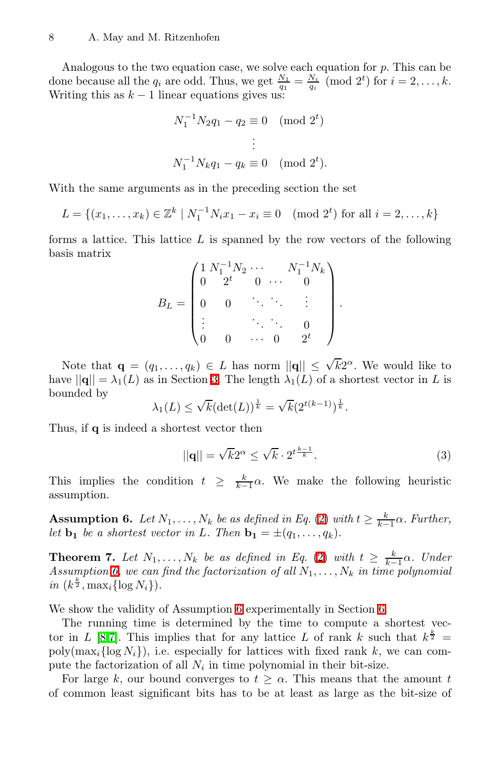Analogous to the two equation case, we solve each equation for  $p$ . This can be done because all the  $q_i$  are odd. Thus, we get  $\frac{N_1}{q_1} = \frac{N_i}{q_i} \pmod{2^t}$  for  $i = 2, \ldots, k$ .<br>Writing this as  $k-1$  linear ocuptions gives us: Writing this as  $k - 1$  linear equations gives us:

$$
N_1^{-1}N_2q_1 - q_2 \equiv 0 \pmod{2^t}
$$
  
 
$$
\vdots
$$
  
\n
$$
N_1^{-1}N_kq_1 - q_k \equiv 0 \pmod{2^t}.
$$

With the same arguments as in the preceding section the set

$$
L = \{(x_1, \ldots, x_k) \in \mathbb{Z}^k \mid N_1^{-1} N_i x_1 - x_i \equiv 0 \pmod{2^t} \text{ for all } i = 2, \ldots, k\}
$$

forms a lattice. This lattice  $L$  is spanned by the row vectors of the following basis matrix

<span id="page-7-2"></span>
$$
B_L = \begin{pmatrix} 1 & N_1^{-1}N_2 & \cdots & N_1^{-1}N_k \\ 0 & 2^t & 0 & \cdots & 0 \\ 0 & 0 & \ddots & \ddots & \vdots \\ \vdots & & & \ddots & \ddots & 0 \\ 0 & 0 & \cdots & 0 & 2^t \end{pmatrix}.
$$

Note that  $\mathbf{q} = (q_1, \ldots, q_k) \in L$  has norm  $||\mathbf{q}|| \leq \sqrt{k} 2^{\alpha}$ . We would like to have  $||\mathbf{q}|| = \lambda_1(L)$  as in Section **3.** The length  $\lambda_1(L)$  of a shortest vector in L is bounded by

<span id="page-7-0"></span>
$$
\lambda_1(L) \le \sqrt{k} (\det(L))^{\frac{1}{k}} = \sqrt{k} (2^{t(k-1)})^{\frac{1}{k}}.
$$

Thus, if **q** is indeed a shortest vector then

<span id="page-7-1"></span>
$$
||\mathbf{q}|| = \sqrt{k}2^{\alpha} \le \sqrt{k} \cdot 2^{t\frac{k-1}{k}}.\tag{3}
$$

This implies the condition  $t \geq \frac{k}{k-1}\alpha$ . We make the following heuristic assumption.

**Assumption 6.** Let  $N_1, \ldots, N_k$  be as defined in Eq. [\(2\)](#page-6-0) with  $t \geq \frac{k}{k-1}\alpha$ . Further, *let* **b1** *be a shortest vector in L. Then*  $\mathbf{b}_1 = \pm (q_1, \ldots, q_k)$ *.* 

**Theorem 7.** Let  $N_1, \ldots, N_k$  be as defined in Eq. [\(2\)](#page-6-0) with  $t \geq \frac{k}{k-1}\alpha$ . Under *Assumption*  $\boxed{0}$ , we can find the factorization of all  $N_1, \ldots, N_k$  *in time polynomial*  $in (k^{\frac{k}{2}}, \max_i {\log N_i}).$ 

We show the validity of Assumption [6](#page-7-0) experimentally in Section [6.](#page-10-0)

The running time is determined by the time to compute a shortest vector in L **[8.[7\]](#page-13-16)**. This implies that for any lattice L of rank k such that  $k^{\frac{k}{2}} =$ poly( $\max_i {\log N_i}$ ), i.e. especially for lattices with fixed rank k, we can compute the factorization of all  $N_i$  in time polynomial in their bit-size.

For large k, our bound converges to  $t \geq \alpha$ . This means that the amount t of common least significant bits has to be at least as large as the bit-size of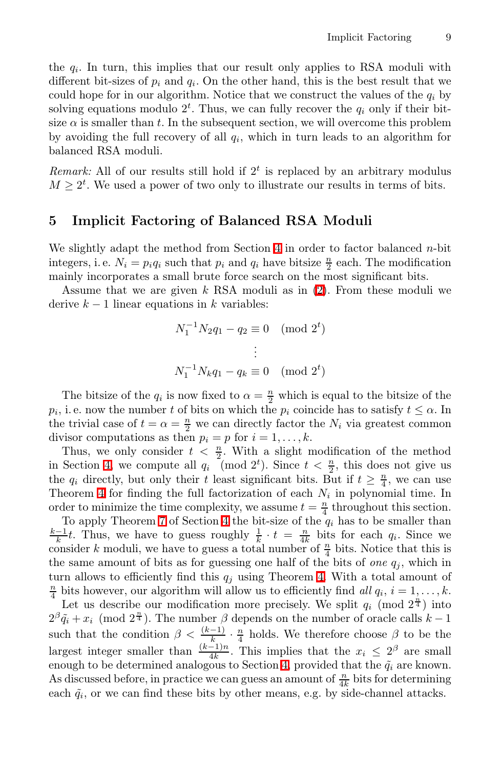the  $q_i$ . In turn, this implies that our result only applies to RSA moduli with different bit-sizes of  $p_i$  and  $q_i$ . On the other hand, this is the best result that we could hope for in our algorithm. Notice that we construct the values of the  $q_i$  by solving equations modulo  $2^t$ . Thus, we can fully recover the  $q_i$  only if their bitsize  $\alpha$  is smaller than t. In the subsequent section, we will overcome this problem by avoiding the full recovery of all  $q_i$ , which in turn leads to an algorithm for balanced RSA moduli.

*Remark:* All of our results still hold if  $2<sup>t</sup>$  is replaced by an arbitrary modulus  $M \geq 2^t$ . We used a power of two only to illustrate our results in terms of bits.

## 5 Implicit Factoring of Balanced RSA Moduli

We slightly adapt the method from Section  $\mathbf{\mathcal{I}}$  in order to factor balanced *n*-bit integers, i. e.  $N_i = p_i q_i$  such that  $p_i$  and  $q_i$  have bitsize  $\frac{n}{2}$  each. The modification mainly incorporates a small brute force search on the most significant bits.

Assume that we are given k RSA moduli as in  $(2)$ . From these moduli we derive  $k-1$  linear equations in k variables:

$$
N_1^{-1}N_2q_1 - q_2 \equiv 0 \pmod{2^t}
$$

$$
\vdots
$$

$$
N_1^{-1}N_kq_1 - q_k \equiv 0 \pmod{2^t}
$$

The bitsize of the  $q_i$  is now fixed to  $\alpha = \frac{n}{2}$  which is equal to the bitsize of the  $p_i$ , i. e. now the number t of bits on which the  $p_i$  coincide has to satisfy  $t \leq \alpha$ . In the trivial case of  $t = \alpha = \frac{n}{2}$  we can directly factor the  $N_i$  via greatest common divisor computations as then  $p_i = p$  for  $i = 1, \ldots, k$ .

Thus, we only consider  $t < \frac{n}{2}$ . With a slight modification of the method in Section  $\frac{1}{4}$ , we compute all  $q_i$  (mod  $2^t$ ). Since  $t < \frac{n}{2}$ , this does not give us the  $q_i$  directly, but only their t least significant bits. But if  $t \geq \frac{n}{4}$ , we can use Theorem  $\mathbf{\mathcal{A}}$  for finding the full factorization of each  $N_i$  in polynomial time. In order to minimize the time complexity, we assume  $t = \frac{n}{4}$  throughout this section.

To apply Theorem  $\boxed{7}$  of Section  $\boxed{4}$  the bit-size of the  $q_i$  has to be smaller than  $\frac{k-1}{k}t$ . Thus, we have to guess roughly  $\frac{1}{k} \cdot t = \frac{n}{4k}$  bits for each  $q_i$ . Since we consider k moduli, we have to guess a total number of  $\frac{n}{4}$  bits. Notice that this is the same amount of bits as for guessing one half of the bits of *one*  $q_i$ , which in turn allows to efficiently find this  $q_j$  using Theorem [4.](#page-4-2) With a total amount of  $\frac{n}{4}$  bits however, our algorithm will allow us to efficiently find *all*  $q_i$ ,  $i = 1, \ldots, k$ .

Let us describe our modification more precisely. We split  $q_i \pmod{2^{\frac{n}{4}}}$  into  $2^{\beta}\tilde{q}_i + x_i \pmod{2^{\frac{n}{4}}}$ . The number  $\beta$  depends on the number of oracle calls  $k-1$ such that the condition  $\beta < \frac{(k-1)}{k} \cdot \frac{n}{4}$  holds. We therefore choose  $\beta$  to be the largest integer smaller than  $\frac{(k-1)n}{4k}$ . This implies that the  $x_i \leq 2^{\beta}$  are small enough to be determined analogous to Section  $\mathbf{\overline{4}}$ , provided that the  $\tilde{q}_i$  are known. As discussed before, in practice we can guess an amount of  $\frac{n}{4k}$  bits for determining each  $\tilde{q}_i$ , or we can find these bits by other means, e.g. by side-channel attacks.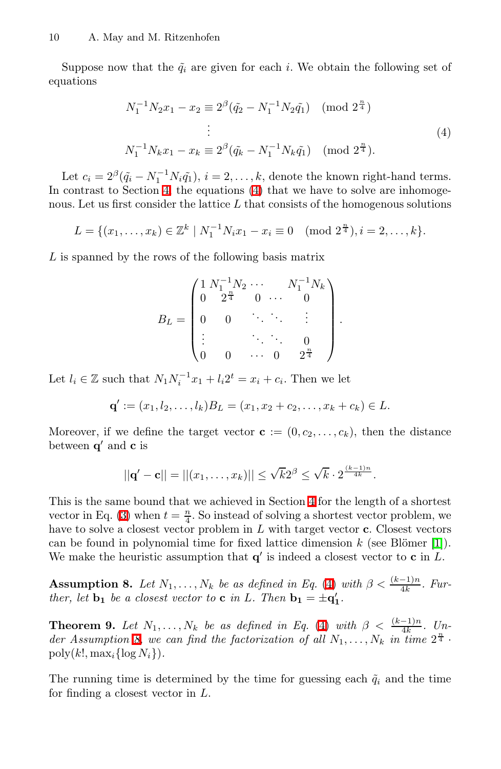Suppose now that the  $\tilde{q}_i$  are given for each i. We obtain the following set of equations

<span id="page-9-0"></span>
$$
N_1^{-1}N_2x_1 - x_2 \equiv 2^{\beta}(\tilde{q}_2 - N_1^{-1}N_2\tilde{q}_1) \pmod{2^{\frac{n}{4}}}
$$
  
 
$$
\vdots
$$
  
\n
$$
N_1^{-1}N_kx_1 - x_k \equiv 2^{\beta}(\tilde{q}_k - N_1^{-1}N_k\tilde{q}_1) \pmod{2^{\frac{n}{4}}}.
$$
\n
$$
(4)
$$

Let  $c_i = 2^{\beta}(\tilde{q}_i - N_1^{-1}N_i\tilde{q}_1), i = 2, \ldots, k$ , denote the known right-hand terms. In contrast to Section  $\mathbf{A}$ , the equations  $\mathbf{A}$  that we have to solve are inhomogenous. Let us first consider the lattice  $L$  that consists of the homogenous solutions

$$
L = \{(x_1, \ldots, x_k) \in \mathbb{Z}^k \mid N_1^{-1} N_i x_1 - x_i \equiv 0 \pmod{2^{\frac{n}{4}}}, i = 2, \ldots, k\}.
$$

L is spanned by the rows of the following basis matrix

|                   |  | $\begin{pmatrix} 1 & N_1^{-1}N_2 & \cdots \\ 0 & 2^{\frac{n}{4}} & 0 \end{pmatrix}$ | $N_1^{-1}N_k$ |  |
|-------------------|--|-------------------------------------------------------------------------------------|---------------|--|
|                   |  |                                                                                     |               |  |
| $B_L$<br>$\equiv$ |  |                                                                                     |               |  |
|                   |  |                                                                                     |               |  |
|                   |  |                                                                                     |               |  |

Let  $l_i \in \mathbb{Z}$  such that  $N_1 N_i^{-1} x_1 + l_i 2^t = x_i + c_i$ . Then we let

$$
\mathbf{q}' := (x_1, l_2, \dots, l_k)B_L = (x_1, x_2 + c_2, \dots, x_k + c_k) \in L.
$$

Moreover, if we define the target vector  $\mathbf{c} := (0, c_2, \ldots, c_k)$ , then the distance between **q**' and **c** is

<span id="page-9-1"></span>
$$
||\mathbf{q}'-\mathbf{c}|| = ||(x_1,\ldots,x_k)|| \leq \sqrt{k}2^{\beta} \leq \sqrt{k} \cdot 2^{\frac{(k-1)n}{4k}}.
$$

This is the same bound that we achieved in Section  $\mathbf{\mathbb{Z}}$  for the length of a shortest vector in Eq. [\(3\)](#page-7-2) when  $t = \frac{n}{4}$ . So instead of solving a shortest vector problem, we have to solve a closest vector problem in L with target vector **c**. Closest vectors can be found in polynomial time for fixed lattice dimension  $k$  (see Blömer  $[1]$ ). We make the heuristic assumption that  $q'$  is indeed a closest vector to **c** in  $L$ .

Assumption 8. Let  $N_1, \ldots, N_k$  be as defined in Eq. [\(4\)](#page-9-0) with  $\beta < \frac{(k-1)n}{4k}$ . Fur*ther, let*  $\mathbf{b_1}$  *be a closest vector to* **c** *in* L. Then  $\mathbf{b_1} = \pm \mathbf{q'_1}$ .

**Theorem 9.** Let  $N_1, \ldots, N_k$  be as defined in Eq. [\(4\)](#page-9-0) with  $\beta < \frac{(k-1)n}{4k}$ . Under Assumption **8**, we can find the factorization of all  $N_1, \ldots, N_k$  in time  $2^{\frac{n}{4}}$ .  $poly(k!, \max_i\{\log N_i\})$ *.* 

The running time is determined by the time for guessing each  $\tilde{q}_i$  and the time for finding a closest vector in L.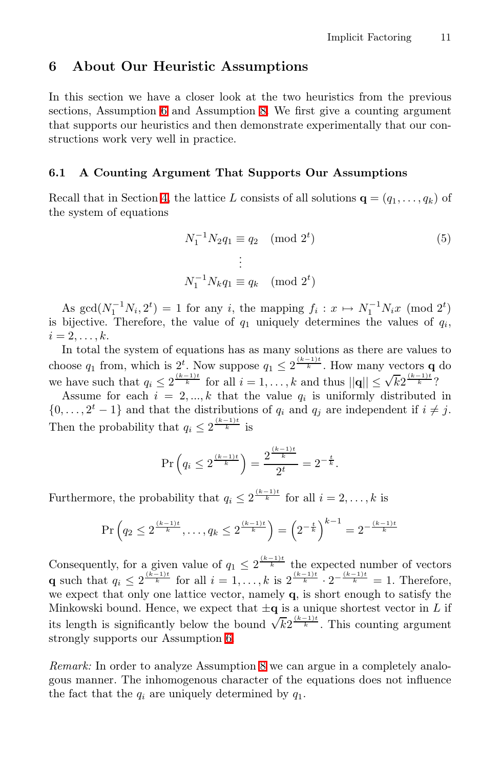# <span id="page-10-1"></span><span id="page-10-0"></span>6 About Our Heuristic Assumptions

In this section we have a closer look at the two heuristics from the previous sections, Assumption  $\boxed{6}$  and Assumption  $\boxed{8}$ . We first give a counting argument that supports our heuristics and then demonstrate experimentally that our constructions work very well in practice.

#### 6.1 A Counting Argument That Supports Our Assumptions

Recall that in Section  $\mathbf{A}$ , the lattice L consists of all solutions  $\mathbf{q} = (q_1, \ldots, q_k)$  of the system of equations

$$
N_1^{-1}N_2q_1 \equiv q_2 \pmod{2^t}
$$
  
\n
$$
\vdots
$$
  
\n
$$
N_1^{-1}N_kq_1 \equiv q_k \pmod{2^t}
$$
 (5)

As  $gcd(N_1^{-1}N_i, 2^t) = 1$  for any i, the mapping  $f_i : x \mapsto N_1^{-1}N_ix \pmod{2^t}$ is bijective. Therefore, the value of  $q_1$  uniquely determines the values of  $q_i$ ,  $i=2,\ldots,k$ .

In total the system of equations has as many solutions as there are values to choose  $q_1$  from, which is  $2^t$ . Now suppose  $q_1 \leq 2^{\frac{(k-1)t}{k}}$ . How many vectors **q** do we have such that  $q_i \leq 2^{\frac{(k-1)t}{k}}$  for all  $i = 1, ..., k$  and thus  $||\mathbf{q}|| \leq \sqrt{k}2^{\frac{(k-1)t}{k}}$ ?

Assume for each  $i = 2, ..., k$  that the value  $q_i$  is uniformly distributed in  $\{0, \ldots, 2^t - 1\}$  and that the distributions of  $q_i$  and  $q_j$  are independent if  $i \neq j$ . Then the probability that  $q_i \leq 2^{\frac{(k-1)t}{k}}$  is

$$
\Pr\left(q_i \le 2^{\frac{(k-1)t}{k}}\right) = \frac{2^{\frac{(k-1)t}{k}}}{2^t} = 2^{-\frac{t}{k}}.
$$

Furthermore, the probability that  $q_i \leq 2^{\frac{(k-1)t}{k}}$  for all  $i = 2, \ldots, k$  is

$$
\Pr\left(q_2 \le 2^{\frac{(k-1)t}{k}}, \dots, q_k \le 2^{\frac{(k-1)t}{k}}\right) = \left(2^{-\frac{t}{k}}\right)^{k-1} = 2^{-\frac{(k-1)t}{k}}
$$

Consequently, for a given value of  $q_1 \leq 2^{\frac{(k-1)t}{k}}$  the expected number of vectors **q** such that  $q_i \leq 2^{\frac{(k-1)t}{k}}$  for all  $i = 1, ..., k$  is  $2^{\frac{(k-1)t}{k}} \cdot 2^{-\frac{(k-1)t}{k}} = 1$ . Therefore, we expect that only one lattice vector, namely **q**, is short enough to satisfy the Minkowski bound. Hence, we expect that  $\pm \mathbf{q}$  is a unique shortest vector in L if its length is significantly below the bound  $\sqrt{k}2^{\frac{(k-1)t}{k}}$ . This counting argument strongly supports our Assumption [6.](#page-7-0)

*Remark:* In order to analyze Assumption  $\mathbb{S}$  we can argue in a completely analogous manner. The inhomogenous character of the equations does not influence the fact that the  $q_i$  are uniquely determined by  $q_1$ .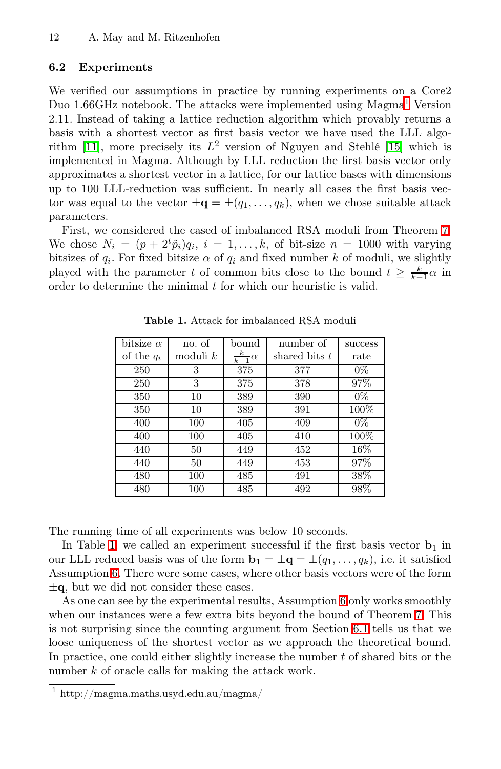#### 6.2 Experiments

We verified our assumptions in practice by running experiments on a Core2 Duo [1](#page-11-0).66GHz notebook. The attacks were implemented using Magma<sup>1</sup> Version 2.11. Instead of taking a lattice reduction algorithm which provably returns a basis with a shortest vector as first basis vector we have used the LLL algorithm  $\boxed{11}$ , more precisely its  $L^2$  version of Nguyen and Stehlé  $\boxed{15}$  which is implemented in Magma. Although by LLL reduction the first basis vector only approximates a shortest vector in a lattice, for our lattice bases with dimensions up to 100 LLL-reduction was sufficient. In nearly all cases the first basis vector was equal to the vector  $\pm \mathbf{q} = \pm (q_1, \ldots, q_k)$ , when we chose suitable attack parameters.

<span id="page-11-1"></span>First, we considered the cased of imbalanced RSA moduli from Theorem  $\overline{a}$ . We chose  $N_i = (p + 2^t \tilde{p}_i) q_i$ ,  $i = 1, ..., k$ , of bit-size  $n = 1000$  with varying bitsizes of  $q_i$ . For fixed bitsize  $\alpha$  of  $q_i$  and fixed number k of moduli, we slightly played with the parameter t of common bits close to the bound  $t \geq \frac{k}{k-1}\alpha$  in order to determine the minimal  $t$  for which our heuristic is valid.

| bitsize $\alpha$ | no. of        | bound                 | number of     | success |
|------------------|---------------|-----------------------|---------------|---------|
| of the $q_i$     | $moduli \; k$ | $\frac{k}{k-1}\alpha$ | shared bits t | rate    |
| 250              | 3             | 375                   | 377           | $0\%$   |
| 250              | 3             | 375                   | 378           | 97%     |
| 350              | 10            | 389                   | 390           | $0\%$   |
| 350              | 10            | 389                   | 391           | 100%    |
| 400              | 100           | 405                   | 409           | $0\%$   |
| 400              | 100           | 405                   | 410           | 100%    |
| 440              | 50            | 449                   | 452           | 16%     |
| 440              | 50            | 449                   | 453           | 97%     |
| 480              | 100           | 485                   | 491           | 38%     |
| 480              | 100           | 485                   | 492           | 98%     |

Table 1. Attack for imbalanced RSA moduli

The running time of all experiments was below 10 seconds.

In Table  $\prod$ , we called an experiment successful if the first basis vector  $\mathbf{b}_1$  in our LLL reduced basis was of the form  $\mathbf{b}_1 = \pm \mathbf{q} = \pm (q_1, \ldots, q_k)$ , i.e. it satisfied Assumption  $\Box$  There were some cases, where other basis vectors were of the form ±**q**, but we did not consider these cases.

<span id="page-11-0"></span>As one can see by the experimental results, Assumption  $\boxed{6}$  only works smoothly when our instances were a few extra bits beyond the bound of Theorem  $\mathbb{Z}$ . This is not surprising since the counting argument from Section  $6.1$  tells us that we loose uniqueness of the shortest vector as we approach the theoretical bound. In practice, one could either slightly increase the number t of shared bits or the number k of oracle calls for making the attack work.

 $^{\rm 1}$ http://magma.maths.usyd.edu.au/magma/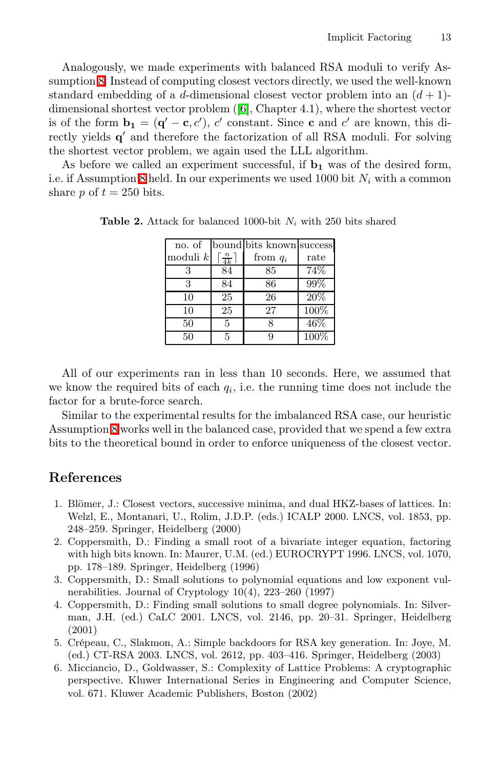Analogously, we made experiments with balanced RSA moduli to verify Assumption **8**. Instead of computing closest vectors directly, we used the well-known standard embedding of a d-dimensional closest vector problem into an  $(d+1)$ dimensional shortest vector problem ( $\overline{6}$ , Chapter 4.1), where the shortest vector is of the form  $\mathbf{b}_1 = (\mathbf{q}' - \mathbf{c}, c')$ , c' constant. Since **c** and c' are known, this directly yields **q'** and therefore the factorization of all RSA moduli. For solving the shortest vector problem, we again used the LLL algorithm.

As before we called an experiment successful, if **b<sup>1</sup>** was of the desired form, i.e. if Assumption  $\mathbb{S}$  held. In our experiments we used 1000 bit  $N_i$  with a common share p of  $t = 250$  bits.

| no. of     |                | bound bits known success |      |
|------------|----------------|--------------------------|------|
| moduli $k$ | $\frac{n}{4k}$ | from $q_i$               | rate |
| 3          | 84             | 85                       | 74%  |
| 3          | 84             | 86                       | 99%  |
| 10         | 25             | 26                       | 20%  |
| 10         | 25             | 27                       | 100% |
| 50         | 5              |                          | 46\% |
| 50         | 5              |                          | 100% |

Table 2. Attack for balanced 1000-bit  $N_i$  with 250 bits shared

<span id="page-12-3"></span>All of our experiments ran in less than 10 seconds. Here, we assumed that we know the required bits of each  $q_i$ , i.e. the running time does not include the factor for a brute-force search.

<span id="page-12-0"></span>Similar to the experimental results for the imbalanced RSA case, our heuristic Assumption  $\boxtimes$  works well in the balanced case, provided that we spend a few extra bits to the theoretical bound in order to enforce uniqueness of the closest vector.

# <span id="page-12-1"></span>References

- 1. Blömer, J.: Closest vectors, successive minima, and dual HKZ-bases of lattices. In: Welzl, E., Montanari, U., Rolim, J.D.P. (eds.) ICALP 2000. LNCS, vol. 1853, pp. 248–259. Springer, Heidelberg (2000)
- <span id="page-12-4"></span><span id="page-12-2"></span>2. Coppersmith, D.: Finding a small root of a bivariate integer equation, factoring with high bits known. In: Maurer, U.M. (ed.) EUROCRYPT 1996. LNCS, vol. 1070, pp. 178–189. Springer, Heidelberg (1996)
- 3. Coppersmith, D.: Small solutions to polynomial equations and low exponent vulnerabilities. Journal of Cryptology 10(4), 223–260 (1997)
- 4. Coppersmith, D.: Finding small solutions to small degree polynomials. In: Silverman, J.H. (ed.) CaLC 2001. LNCS, vol. 2146, pp. 20–31. Springer, Heidelberg (2001)
- 5. Crépeau, C., Slakmon, A.: Simple backdoors for RSA key generation. In: Joye, M. (ed.) CT-RSA 2003. LNCS, vol. 2612, pp. 403–416. Springer, Heidelberg (2003)
- 6. Micciancio, D., Goldwasser, S.: Complexity of Lattice Problems: A cryptographic perspective. Kluwer International Series in Engineering and Computer Science, vol. 671. Kluwer Academic Publishers, Boston (2002)